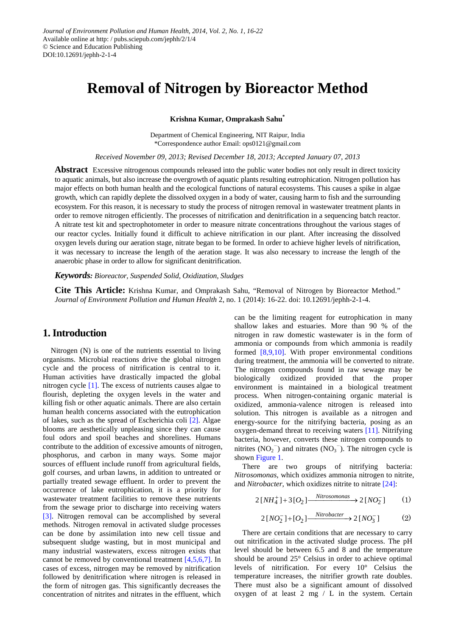# **Removal of Nitrogen by Bioreactor Method**

**Krishna Kumar, Omprakash Sahu\***

Department of Chemical Engineering, NIT Raipur, India \*Correspondence author Email: ops0121@gmail.com

*Received November 09, 2013; Revised December 18, 2013; Accepted January 07, 2013*

**Abstract** Excessive nitrogenous compounds released into the public water bodies not only result in direct toxicity to aquatic animals, but also increase the overgrowth of aquatic plants resulting eutrophication. Nitrogen pollution has major effects on both human health and the ecological functions of natural ecosystems. This causes a spike in algae growth, which can rapidly deplete the dissolved oxygen in a body of water, causing harm to fish and the surrounding ecosystem. For this reason, it is necessary to study the process of nitrogen removal in wastewater treatment plants in order to remove nitrogen efficiently. The processes of nitrification and denitrification in a sequencing batch reactor. A nitrate test kit and spectrophotometer in order to measure nitrate concentrations throughout the various stages of our reactor cycles. Initially found it difficult to achieve nitrification in our plant. After increasing the dissolved oxygen levels during our aeration stage, nitrate began to be formed. In order to achieve higher levels of nitrification, it was necessary to increase the length of the aeration stage. It was also necessary to increase the length of the anaerobic phase in order to allow for significant denitrification.

*Keywords: Bioreactor, Suspended Solid, Oxidization, Sludges*

**Cite This Article:** Krishna Kumar, and Omprakash Sahu, "Removal of Nitrogen by Bioreactor Method." *Journal of Environment Pollution and Human Health* 2, no. 1 (2014): 16-22. doi: 10.12691/jephh-2-1-4.

# **1. Introduction**

Nitrogen (N) is one of the nutrients essential to living organisms. Microbial reactions drive the global nitrogen cycle and the process of nitrification is central to it. Human activities have drastically impacted the global nitrogen cycle [\[1\].](#page-6-0) The excess of nutrients causes algae to flourish, depleting the oxygen levels in the water and killing fish or other aquatic animals. There are also certain human health concerns associated with the eutrophication of lakes, such as the spread of Escherichia coli [\[2\].](#page-6-1) Algae blooms are aesthetically unpleasing since they can cause foul odors and spoil beaches and shorelines. Humans contribute to the addition of excessive amounts of nitrogen, phosphorus, and carbon in many ways. Some major sources of effluent include runoff from agricultural fields, golf courses, and urban lawns, in addition to untreated or partially treated sewage effluent. In order to prevent the occurrence of lake eutrophication, it is a priority for wastewater treatment facilities to remove these nutrients from the sewage prior to discharge into receiving waters [\[3\].](#page-6-2) Nitrogen removal can be accomplished by several methods. Nitrogen removal in activated sludge processes can be done by assimilation into new cell tissue and subsequent sludge wasting, but in most municipal and many industrial wastewaters, excess nitrogen exists that cannot be removed by conventional treatment [\[4,5,6,7\].](#page-6-3) In cases of excess, nitrogen may be removed by nitrification followed by denitrification where nitrogen is released in the form of nitrogen gas. This significantly decreases the concentration of nitrites and nitrates in the effluent, which

can be the limiting reagent for eutrophication in many shallow lakes and estuaries. More than 90 % of the nitrogen in raw domestic wastewater is in the form of ammonia or compounds from which ammonia is readily formed [\[8,9,10\].](#page-6-4) With proper environmental conditions during treatment, the ammonia will be converted to nitrate. The nitrogen compounds found in raw sewage may be biologically oxidized provided that the proper biologically oxidized provided that the environment is maintained in a biological treatment process. When nitrogen-containing organic material is oxidized, ammonia-valence nitrogen is released into solution. This nitrogen is available as a nitrogen and energy-source for the nitrifying bacteria, posing as an oxygen-demand threat to receiving waters [\[11\].](#page-6-5) Nitrifying bacteria, however, converts these nitrogen compounds to nitrites  $(NO<sub>2</sub><sup>-</sup>)$  and nitrates  $(NO<sub>3</sub><sup>-</sup>)$ . The nitrogen cycle is shown [Figure 1.](#page-1-0)

There are two groups of nitrifying bacteria: *Nitrosomonas*, which oxidizes ammonia nitrogen to nitrite, and *Nitrobacter*, which oxidizes nitrite to nitrate [\[24\]:](#page-6-6)

$$
2[NH_4^+] + 3[O_2] \xrightarrow{\text{Nitrosomonas}} 2[NO_2^-] \tag{1}
$$

$$
2\left[NO_2^- \right] + \left[O_2 \right] \xrightarrow{Nitrobacter} 2\left[NO_3^- \right] \tag{2}
$$

There are certain conditions that are necessary to carry out nitrification in the activated sludge process. The pH level should be between 6.5 and 8 and the temperature should be around 25° Celsius in order to achieve optimal levels of nitrification. For every 10° Celsius the temperature increases, the nitrifier growth rate doubles. There must also be a significant amount of dissolved oxygen of at least  $2 \text{ mg} / L$  in the system. Certain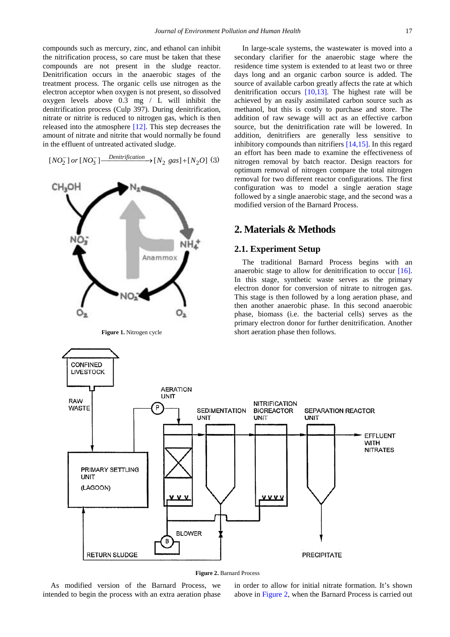compounds such as mercury, zinc, and ethanol can inhibit the nitrification process, so care must be taken that these compounds are not present in the sludge reactor. Denitrification occurs in the anaerobic stages of the treatment process. The organic cells use nitrogen as the electron acceptor when oxygen is not present, so dissolved oxygen levels above 0.3 mg / L will inhibit the denitrification process (Culp 397). During denitrification, nitrate or nitrite is reduced to nitrogen gas, which is then released into the atmosphere [\[12\].](#page-6-7) This step decreases the amount of nitrate and nitrite that would normally be found in the effluent of untreated activated sludge.

 $[NO_2^-] \ or \ [NO_3^-] \xrightarrow{Denitrification} [N_2\ gas] + [N_2O]\ (3)$ 

<span id="page-1-0"></span>

In large-scale systems, the wastewater is moved into a secondary clarifier for the anaerobic stage where the residence time system is extended to at least two or three days long and an organic carbon source is added. The source of available carbon greatly affects the rate at which denitrification occurs [\[10,13\].](#page-6-8) The highest rate will be achieved by an easily assimilated carbon source such as methanol, but this is costly to purchase and store. The addition of raw sewage will act as an effective carbon source, but the denitrification rate will be lowered. In addition, denitrifiers are generally less sensitive to inhibitory compounds than nitrifiers [\[14,15\].](#page-6-9) In this regard an effort has been made to examine the effectiveness of nitrogen removal by batch reactor. Design reactors for optimum removal of nitrogen compare the total nitrogen removal for two different reactor configurations. The first configuration was to model a single aeration stage followed by a single anaerobic stage, and the second was a modified version of the Barnard Process.

# **2. Materials & Methods**

#### **2.1. Experiment Setup**

The traditional Barnard Process begins with an anaerobic stage to allow for denitrification to occur [\[16\].](#page-6-10) In this stage, synthetic waste serves as the primary electron donor for conversion of nitrate to nitrogen gas. This stage is then followed by a long aeration phase, and then another anaerobic phase. In this second anaerobic phase, biomass (i.e. the bacterial cells) serves as the primary electron donor for further denitrification. Another short aeration phase then follows.

<span id="page-1-1"></span>

**Figure 2.** Barnard Process

As modified version of the Barnard Process, we intended to begin the process with an extra aeration phase in order to allow for initial nitrate formation. It's shown above in [Figure 2,](#page-1-1) when the Barnard Process is carried out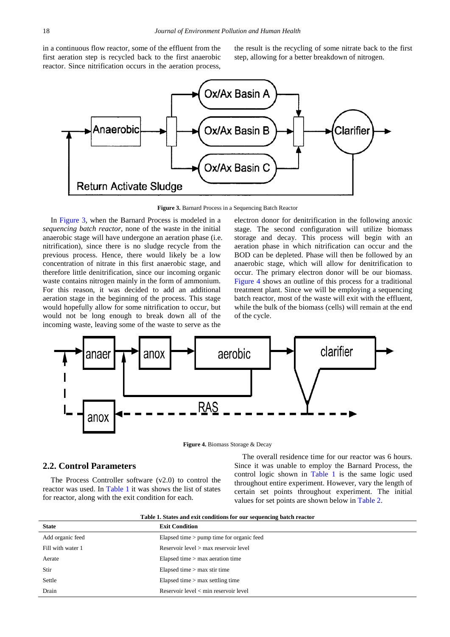in a continuous flow reactor, some of the effluent from the first aeration step is recycled back to the first anaerobic reactor. Since nitrification occurs in the aeration process,

the result is the recycling of some nitrate back to the first step, allowing for a better breakdown of nitrogen.

<span id="page-2-0"></span>

**Figure 3.** Barnard Process in a Sequencing Batch Reactor

In [Figure 3,](#page-2-0) when the Barnard Process is modeled in a *sequencing batch reactor*, none of the waste in the initial anaerobic stage will have undergone an aeration phase (i.e. nitrification), since there is no sludge recycle from the previous process. Hence, there would likely be a low concentration of nitrate in this first anaerobic stage, and therefore little denitrification, since our incoming organic waste contains nitrogen mainly in the form of ammonium. For this reason, it was decided to add an additional aeration stage in the beginning of the process. This stage would hopefully allow for some nitrification to occur, but would not be long enough to break down all of the incoming waste, leaving some of the waste to serve as the

electron donor for denitrification in the following anoxic stage. The second configuration will utilize biomass storage and decay. This process will begin with an aeration phase in which nitrification can occur and the BOD can be depleted. Phase will then be followed by an anaerobic stage, which will allow for denitrification to occur. The primary electron donor will be our biomass. [Figure 4](#page-2-1) shows an outline of this process for a traditional treatment plant. Since we will be employing a sequencing batch reactor, most of the waste will exit with the effluent, while the bulk of the biomass (cells) will remain at the end of the cycle.

<span id="page-2-1"></span>

**Figure 4.** Biomass Storage & Decay

#### **2.2. Control Parameters**

The Process Controller software (v2.0) to control the reactor was used. In [Table 1](#page-2-2) it was shows the list of states for reactor, along with the exit condition for each.

The overall residence time for our reactor was 6 hours. Since it was unable to employ the Barnard Process, the control logic shown in [Table 1](#page-2-2) is the same logic used throughout entire experiment. However, vary the length of certain set points throughout experiment. The initial values for set points are shown below in [Table 2.](#page-3-0)

<span id="page-2-2"></span>

| <b>State</b>      | <b>Exit Condition</b>                       |
|-------------------|---------------------------------------------|
| Add organic feed  | Elapsed time $>$ pump time for organic feed |
| Fill with water 1 | Reservoir level > max reservoir level       |
| Aerate            | Elapsed time $>$ max aeration time          |
| Stir              | Elapsed time $>$ max stir time              |
| Settle            | Elapsed time $>$ max settling time          |
| Drain             | Reservoir $level < min$ reservoir $level$   |

**Table 1. States and exit conditions for our sequencing batch reactor**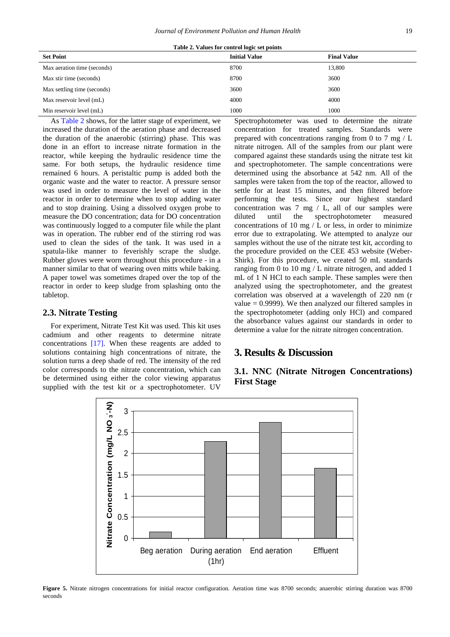| Table 2. Values for control logic set points |  |  |  |  |
|----------------------------------------------|--|--|--|--|
|----------------------------------------------|--|--|--|--|

<span id="page-3-0"></span>

| <b>Set Point</b>            | <b>Initial Value</b> | <b>Final Value</b> |
|-----------------------------|----------------------|--------------------|
| Max aeration time (seconds) | 8700                 | 13,800             |
| Max stir time (seconds)     | 8700                 | 3600               |
| Max settling time (seconds) | 3600                 | 3600               |
| Max reservoir level (mL)    | 4000                 | 4000               |
| Min reservoir level (mL)    | 1000                 | 1000               |

As [Table 2](#page-3-0) shows, for the latter stage of experiment, we increased the duration of the aeration phase and decreased the duration of the anaerobic (stirring) phase. This was done in an effort to increase nitrate formation in the reactor, while keeping the hydraulic residence time the same. For both setups, the hydraulic residence time remained 6 hours. A peristaltic pump is added both the organic waste and the water to reactor. A pressure sensor was used in order to measure the level of water in the reactor in order to determine when to stop adding water and to stop draining. Using a dissolved oxygen probe to measure the DO concentration; data for DO concentration was continuously logged to a computer file while the plant was in operation. The rubber end of the stirring rod was used to clean the sides of the tank. It was used in a spatula-like manner to feverishly scrape the sludge. Rubber gloves were worn throughout this procedure - in a manner similar to that of wearing oven mitts while baking. A paper towel was sometimes draped over the top of the reactor in order to keep sludge from splashing onto the tabletop.

### **2.3. Nitrate Testing**

For experiment, Nitrate Test Kit was used. This kit uses cadmium and other reagents to determine nitrate concentrations [\[17\].](#page-6-11) When these reagents are added to solutions containing high concentrations of nitrate, the solution turns a deep shade of red. The intensity of the red color corresponds to the nitrate concentration, which can be determined using either the color viewing apparatus supplied with the test kit or a spectrophotometer. UV

Spectrophotometer was used to determine the nitrate concentration for treated samples. Standards were prepared with concentrations ranging from 0 to 7 mg / L nitrate nitrogen. All of the samples from our plant were compared against these standards using the nitrate test kit and spectrophotometer. The sample concentrations were determined using the absorbance at 542 nm. All of the samples were taken from the top of the reactor, allowed to settle for at least 15 minutes, and then filtered before performing the tests. Since our highest standard concentration was 7 mg / L, all of our samples were diluted until the spectrophotometer measured concentrations of 10 mg  $/L$  or less, in order to minimize error due to extrapolating. We attempted to analyze our samples without the use of the nitrate test kit, according to the procedure provided on the CEE 453 website (Weber-Shirk). For this procedure, we created 50 mL standards ranging from 0 to 10 mg / L nitrate nitrogen, and added 1 mL of 1 N HCl to each sample. These samples were then analyzed using the spectrophotometer, and the greatest correlation was observed at a wavelength of 220 nm (r value  $= 0.9999$ ). We then analyzed our filtered samples in the spectrophotometer (adding only HCl) and compared the absorbance values against our standards in order to determine a value for the nitrate nitrogen concentration.

# **3. Results & Discussion**

<span id="page-3-1"></span>

# **3.1. NNC (Nitrate Nitrogen Concentrations) First Stage**

**Figure 5.** Nitrate nitrogen concentrations for initial reactor configuration. Aeration time was 8700 seconds; anaerobic stirring duration was 8700 seconds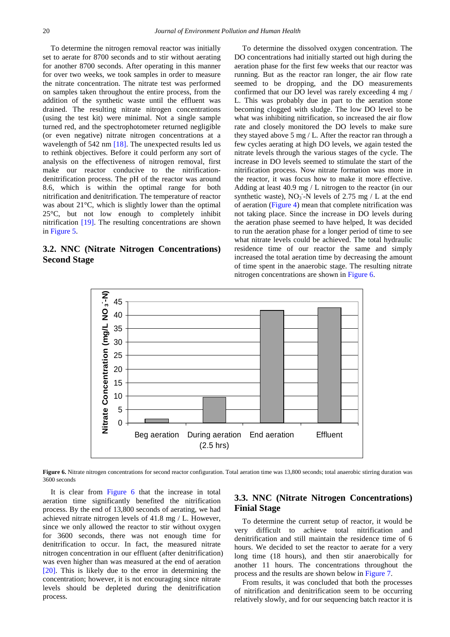To determine the nitrogen removal reactor was initially set to aerate for 8700 seconds and to stir without aerating for another 8700 seconds. After operating in this manner for over two weeks, we took samples in order to measure the nitrate concentration. The nitrate test was performed on samples taken throughout the entire process, from the addition of the synthetic waste until the effluent was drained. The resulting nitrate nitrogen concentrations (using the test kit) were minimal. Not a single sample turned red, and the spectrophotometer returned negligible (or even negative) nitrate nitrogen concentrations at a wavelength of 542 nm [\[18\].](#page-6-12) The unexpected results led us to rethink objectives. Before it could perform any sort of analysis on the effectiveness of nitrogen removal, first make our reactor conducive to the nitrificationdenitrification process. The pH of the reactor was around 8.6, which is within the optimal range for both nitrification and denitrification. The temperature of reactor was about 21°C, which is slightly lower than the optimal 25°C, but not low enough to completely inhibit nitrification [\[19\].](#page-6-13) The resulting concentrations are shown in [Figure 5.](#page-3-1)

## <span id="page-4-0"></span>**3.2. NNC (Nitrate Nitrogen Concentrations) Second Stage**

To determine the dissolved oxygen concentration. The DO concentrations had initially started out high during the aeration phase for the first few weeks that our reactor was running. But as the reactor ran longer, the air flow rate seemed to be dropping, and the DO measurements confirmed that our DO level was rarely exceeding 4 mg / L. This was probably due in part to the aeration stone becoming clogged with sludge. The low DO level to be what was inhibiting nitrification, so increased the air flow rate and closely monitored the DO levels to make sure they stayed above 5 mg / L. After the reactor ran through a few cycles aerating at high DO levels, we again tested the nitrate levels through the various stages of the cycle. The increase in DO levels seemed to stimulate the start of the nitrification process. Now nitrate formation was more in the reactor, it was focus how to make it more effective. Adding at least 40.9 mg / L nitrogen to the reactor (in our synthetic waste),  $NO_3$ <sup>-</sup>N levels of 2.75 mg / L at the end of aeration [\(Figure 4\)](#page-2-1) mean that complete nitrification was not taking place. Since the increase in DO levels during the aeration phase seemed to have helped, It was decided to run the aeration phase for a longer period of time to see what nitrate levels could be achieved. The total hydraulic residence time of our reactor the same and simply increased the total aeration time by decreasing the amount of time spent in the anaerobic stage. The resulting nitrate nitrogen concentrations are shown in [Figure 6.](#page-4-0)



Figure 6. Nitrate nitrogen concentrations for second reactor configuration. Total aeration time was 13,800 seconds; total anaerobic stirring duration was 3600 seconds

It is clear from [Figure 6](#page-4-0) that the increase in total aeration time significantly benefited the nitrification process. By the end of 13,800 seconds of aerating, we had achieved nitrate nitrogen levels of 41.8 mg / L. However, since we only allowed the reactor to stir without oxygen for 3600 seconds, there was not enough time for denitrification to occur. In fact, the measured nitrate nitrogen concentration in our effluent (after denitrification) was even higher than was measured at the end of aeration [\[20\].](#page-6-14) This is likely due to the error in determining the concentration; however, it is not encouraging since nitrate levels should be depleted during the denitrification process.

### **3.3. NNC (Nitrate Nitrogen Concentrations) Finial Stage**

To determine the current setup of reactor, it would be very difficult to achieve total nitrification and denitrification and still maintain the residence time of 6 hours. We decided to set the reactor to aerate for a very long time (18 hours), and then stir anaerobically for another 11 hours. The concentrations throughout the process and the results are shown below in [Figure 7.](#page-5-0)

From results, it was concluded that both the processes of nitrification and denitrification seem to be occurring relatively slowly, and for our sequencing batch reactor it is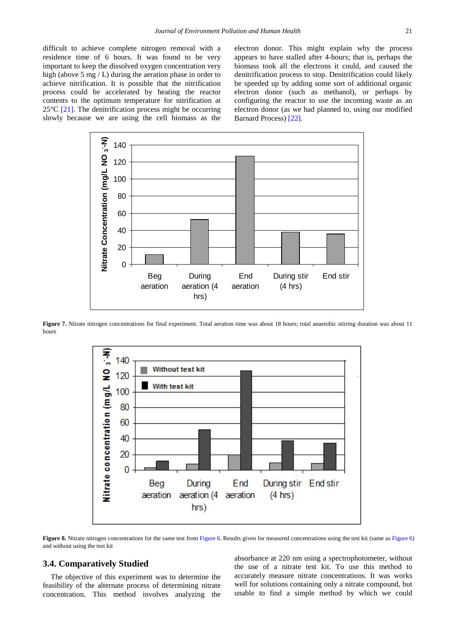difficult to achieve complete nitrogen removal with a residence time of 6 hours. It was found to be very important to keep the dissolved oxygen concentration very high (above 5 mg / L) during the aeration phase in order to achieve nitrification. It is possible that the nitrification process could be accelerated by heating the reactor contents to the optimum temperature for nitrification at  $25^{\circ}$ C [\[21\].](#page-6-15) The denitrification process might be occurring slowly because we are using the cell biomass as the

electron donor. This might explain why the process appears to have stalled after 4-hours; that is, perhaps the biomass took all the electrons it could, and caused the denitrification process to stop. Denitrification could likely be speeded up by adding some sort of additional organic electron donor (such as methanol), or perhaps by configuring the reactor to use the incoming waste as an electron donor (as we had planned to, using our modified Barnard Process) [\[22\].](#page-6-16)

<span id="page-5-0"></span>

<span id="page-5-1"></span>**Figure 7.** Nitrate nitrogen concentrations for final experiment. Total aeration time was about 18 hours; total anaerobic stirring duration was about 11 hours



Figure 8. Nitrate nitrogen concentrations for the same test fro[m Figure 6.](#page-4-0) Results given for measured concentrations using the test kit (same as [Figure 6\)](#page-4-0) and without using the test kit

#### **3.4. Comparatively Studied**

The objective of this experiment was to determine the feasibility of the alternate process of determining nitrate concentration. This method involves analyzing the absorbance at 220 nm using a spectrophotometer, without the use of a nitrate test kit. To use this method to accurately measure nitrate concentrations. It was works well for solutions containing only a nitrate compound, but unable to find a simple method by which we could